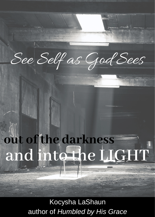See Self as God Sees

## **and into the LIGHT out of the darkness**

Kocysha LaShaun author of *Humbled by His Grace*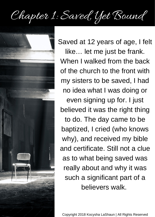Chapter 1: Saved, Yet Bound



Saved at 12 years of age, I felt like… let me just be frank. When I walked from the back of the church to the front with my sisters to be saved, I had no idea what I was doing or

even signing up for. I just believed it was the right thing

to do. The day came to be baptized, I cried (who knows why), and received my bible and certificate. Still not a clue as to what being saved was really about and why it was such a significant part of a believers walk.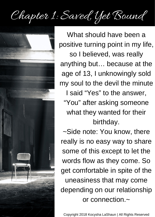Chapter 1: Saved, Yet Bound



What should have been a positive turning point in my life, so I believed, was really anything but… because at the age of 13, I unknowingly sold my soul to the devil the minute I said "Yes" to the answer, "You" after asking someone what they wanted for their birthday.

~Side note: You know, there really is no easy way to share some of this except to let the words flow as they come. So get comfortable in spite of the uneasiness that may come depending on our relationship or connection.~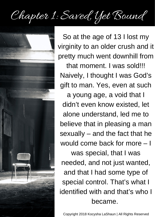Chapter 1: Saved, Yet Bound



So at the age of 13 I lost my virginity to an older crush and it pretty much went downhill from

that moment. I was sold!!! Naively, I thought I was God's gift to man. Yes, even at such

a young age, a void that I didn't even know existed, let alone understand, led me to believe that in pleasing a man sexually – and the fact that he would come back for more – I

was special, that I was needed, and not just wanted, and that I had some type of special control. That's what I identified with and that's who I became.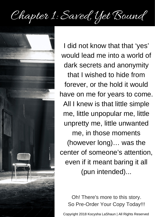Chapter 1: Saved, Yet Bound



I did not know that that 'yes' would lead me into a world of dark secrets and anonymity that I wished to hide from forever, or the hold it would have on me for years to come. All I knew is that little simple me, little unpopular me, little unpretty me, little unwanted me, in those moments (however long)… was the center of someone's attention, even if it meant baring it all (pun intended)...

Oh! There's more to this story. So Pre-Order Your Copy Today!!!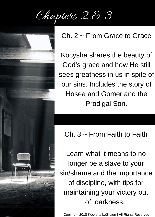Chapters 2 & 3



## Ch. 2 ~ From Grace to Grace

Kocysha shares the beauty of God's grace and how He still sees greatness in us in spite of our sins. Includes the story of Hosea and Gomer and the Prodigal Son.

## Ch.  $3 \sim$  From Faith to Faith

Learn what it means to no longer be a slave to your sin/shame and the importance of discipline, with tips for maintaining your victory out of darkness.